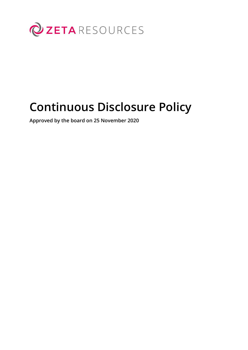

# **Continuous Disclosure Policy**

**Approved by the board on 25 November 2020**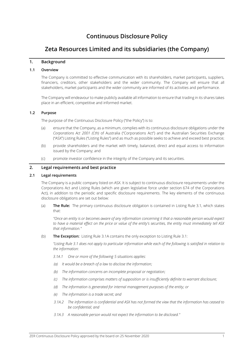# **Continuous Disclosure Policy**

# **Zeta Resources Limited and its subsidiaries (the Company)**

# **1. Background**

# **1.1 Overview**

The Company is committed to effective communication with its shareholders, market participants, suppliers, financiers, creditors, other stakeholders and the wider community. The Company will ensure that all stakeholders, market participants and the wider community are informed of its activities and performance.

The Company will endeavour to make publicly available all information to ensure that trading in its shares takes place in an efficient, competitive and informed market.

# **1.2 Purpose**

The purpose of the Continuous Disclosure Policy ("the Policy") is to:

- (a) ensure that the Company, as a minimum, complies with its continuous disclosure obligations under the *Corporations Act 2001 (Cth)* of Australia ("Corporations Act") and the Australian Securities Exchange ("ASX") Listing Rules ("Listing Rules") and as much as possible seeks to achieve and exceed best practice;
- (b) provide shareholders and the market with timely, balanced, direct and equal access to information issued by the Company; and
- (c) promote investor confidence in the integrity of the Company and its securities.

# **2. Legal requirements and best practice**

# **2.1 Legal requirements**

The Company is a public company listed on ASX. It is subject to continuous disclosure requirements under the Corporations Act and Listing Rules (which are given legislative force under section 674 of the Corporations Act), in addition to the periodic and specific disclosure requirements. The key elements of the continuous disclosure obligations are set out below:

(a) **The Rule:** The primary continuous disclosure obligation is contained in Listing Rule 3.1, which states that:

*"Once an entity is or becomes aware of any information concerning it that a reasonable person would expect to have a material effect on the price or value of the entity's securities, the entity must immediately tell ASX that information."*

(b) **The Exception:** Listing Rule 3.1A contains the only exception to Listing Rule 3.1:

*"Listing Rule 3.1 does not apply to particular information while each of the following is satisfied in relation to the information:*

- *3.1A.1 One or more of the following 5 situations applies:*
- *(a) It would be a breach of a law to disclose the information;*
- *(b) The information concerns an incomplete proposal or negotiation;*
- *(c) The information comprises matters of supposition or is insufficiently definite to warrant disclosure;*
- *(d) The information is generated for internal management purposes of the entity; or*
- *(e) The information is a trade secret; and*
- *3.1A.2 The information is confidential and ASX has not formed the view that the information has ceased to be confidential; and*
- *3.1A.3 A reasonable person would not expect the information to be disclosed."*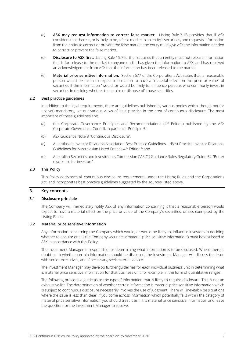- (c) **ASX may request information to correct false market:** Listing Rule 3.1B provides that if ASX considers that there is, or is likely to be, a false market in an entity's securities, and requests information from the entity to correct or prevent the false market, the entity must give ASX the information needed to correct or prevent the false market.
- (d) **Disclosure to ASX first:** Listing Rule 15.7 further requires that an entity must not release information that is for release to the market to anyone until it has given the information to ASX, and has received an acknowledgement from ASX that the information has been released to the market.
- (e) **Material price sensitive information:** Section 677 of the Corporations Act states that, a reasonable person would be taken to expect information to have a "material effect on the price or value" of securities if the information "would, or would be likely to, influence persons who commonly invest in securities in deciding whether to acquire or dispose of" those securities.

# **2.2 Best practice guidelines**

In addition to the legal requirements, there are guidelines published by various bodies which, though not (or not yet) mandatory, set out various views of best practice in the area of continuous disclosure. The most important of these guidelines are:

- (a) the 'Corporate Governance Principles and Recommendations ( $4<sup>th</sup>$  Edition) published by the ASX Corporate Governance Council, in particular Principle 5;
- (b) ASX Guidance Note 8 "Continuous Disclosure";
- (c) Australasian Investor Relations Association Best Practice Guidelines "Best Practice Investor Relations: Guidelines for Australasian Listed Entities 4<sup>th</sup> Edition"; and
- (d) Australian Securities and Investments Commission ("ASIC") Guidance Rules Regulatory Guide 62 "Better disclosure for investors".

# **2.3 This Policy**

This Policy addresses all continuous disclosure requirements under the Listing Rules and the Corporations Act, and incorporates best practice guidelines suggested by the sources listed above.

# **3. Key concepts**

## **3.1 Disclosure principle**

The Company will immediately notify ASX of any information concerning it that a reasonable person would expect to have a material effect on the price or value of the Company's securities, unless exempted by the Listing Rules.

## **3.2 Material price sensitive information**

Any information concerning the Company which would, or would be likely to, influence investors in deciding whether to acquire or sell the Company securities ("material price sensitive information") must be disclosed to ASX in accordance with this Policy.

The Investment Manager is responsible for determining what information is to be disclosed. Where there is doubt as to whether certain information should be disclosed, the Investment Manager will discuss the issue with senior executives, and if necessary, seek external advice.

The Investment Manager may develop further guidelines for each individual business unit in determining what is material price sensitive information for that business unit, for example, in the form of quantitative ranges.

The following provides a guide as to the type of information that is likely to require disclosure. This is not an exhaustive list. The determination of whether certain information is material price sensitive information which is subject to continuous disclosure necessarily involves the use of judgment. There will inevitably be situations where the issue is less than clear. If you come across information which potentially falls within the category of material price sensitive information, you should treat it as if it is material price sensitive information and leave the question for the Investment Manager to resolve.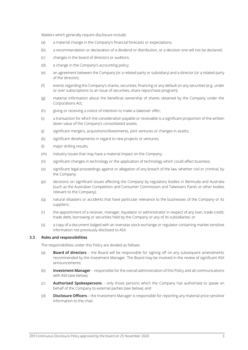Matters which generally require disclosure include:

- (a) a material change in the Company's financial forecasts or expectations;
- (b) a recommendation or declaration of a dividend or distribution, or a decision one will not be declared;
- (c) changes in the board of directors or auditors;
- (d) a change in the Company's accounting policy;
- (e) an agreement between the Company (or a related party or subsidiary) and a director (or a related party of the director);
- (f) events regarding the Company's shares, securities, financing or any default on any securities (e.g. under or over subscriptions to an issue of securities, share repurchase program);
- (g) material information about the beneficial ownership of shares obtained by the Company under the Corporations Act;
- (h) giving or receiving a notice of intention to make a takeover offer;
- (i) a transaction for which the consideration payable or receivable is a significant proportion of the written down value of the Company's consolidated assets;
- (j) significant mergers, acquisitions/divestments, joint ventures or changes in assets;
- (k) significant developments in regard to new projects or ventures;
- (l) major drilling results;
- (m) industry issues that may have a material impact on the Company;
- (n) significant changes in technology or the application of technology which could affect business;
- (o) significant legal proceedings against or allegation of any breach of the law, whether civil or criminal, by the Company;
- (p) decisions on significant issues affecting the Company by regulatory bodies in Bermuda and Australia (such as the Australian Competition and Consumer Commission and Takeovers Panel, or other bodies relevant to the Company);
- (q) natural disasters or accidents that have particular relevance to the businesses of the Company or its suppliers;
- (r) the appointment of a receiver, manager, liquidator or administrator in respect of any loan, trade credit, trade debt, borrowing or securities held by the Company or any of its subsidiaries; or
- (s) a copy of a document lodged with an overseas stock exchange or regulator containing market sensitive information not previously disclosed to ASX.

## **3.3 Roles and responsibilities**

The responsibilities under this Policy are divided as follows:

- (a) **Board of directors** the Board will be responsible for signing off on any subsequent amendments recommended by the Investment Manager. The Board may be involved in the review of significant ASX announcements;
- (b) **Investment Manager** responsible for the overall administration of this Policy and all communications with ASX (see below);
- (c) **Authorised Spokespersons** only those persons which the Company has authorised to speak on behalf of the Company to external parties (see below); and
- (d) **Disclosure Officers** the Investment Manager is responsible for reporting any material price sensitive information to the chair.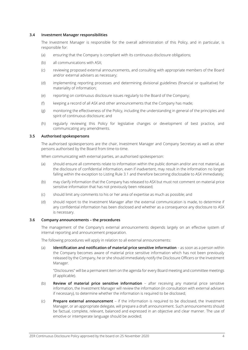#### **3.4 Investment Manager responsibilities**

The Investment Manager is responsible for the overall administration of this Policy, and in particular, is responsible for:

- (a) ensuring that the Company is compliant with its continuous disclosure obligations;
- (b) all communications with ASX;
- (c) reviewing proposed external announcements, and consulting with appropriate members of the Board and/or external advisers as necessary;
- (d) implementing reporting processes and determining divisional guidelines (financial or qualitative) for materiality of information;
- (e) reporting on continuous disclosure issues regularly to the Board of the Company;
- (f) keeping a record of all ASX and other announcements that the Company has made;
- (g) monitoring the effectiveness of the Policy, including the understanding in general of the principles and spirit of continuous disclosure; and
- (h) regularly reviewing this Policy for legislative changes or development of best practice, and communicating any amendments.

## **3.5 Authorised spokespersons**

The authorised spokespersons are the chair, Investment Manager and Company Secretary as well as other persons authorised by the Board from time-to-time.

When communicating with external parties, an authorised spokesperson:

- (a) should ensure all comments relate to information within the public domain and/or are not material, as the disclosure of confidential information, even if inadvertent, may result in the information no longer falling within the exception to Listing Rule 3.1 and therefore becoming disclosable to ASX immediately;
- (b) may clarify information that the Company has released to ASX but must not comment on material price sensitive information that has not previously been released;
- (c) should limit any comments to his or her area of expertise as much as possible; and
- (d) should report to the Investment Manager after the external communication is made, to determine if any confidential information has been disclosed and whether as a consequence any disclosure to ASX is necessary.

# **3.6 Company announcements – the procedures**

The management of the Company's external announcements depends largely on an effective system of internal reporting and announcement preparation.

The following procedures will apply in relation to all external announcements:

(a) **Identification and notification of material price sensitive information** – as soon as a person within the Company becomes aware of material price sensitive information which has not been previously released by the Company, he or she should immediately notify the Disclosure Officers or the Investment Manager.

"Disclosures" will be a permanent item on the agenda for every Board meeting and committee meetings (if applicable).

- (b) **Review of material price sensitive information**  after receiving any material price sensitive information, the Investment Manager will review the information (in consultation with external advisers if necessary), to determine whether the information is required to be disclosed;
- (c) **Prepare external announcement** if the information is required to be disclosed, the Investment Manager, or an appropriate delegate, will prepare a draft announcement. Such announcements should be factual, complete, relevant, balanced and expressed in an objective and clear manner. The use of emotive or intemperate language should be avoided;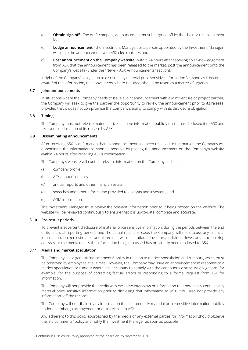- (d) **Obtain sign off** The draft company announcement must be signed off by the chair or the Investment Manager;
- (e) **Lodge announcement** the Investment Manager, or a person appointed by the Investment Manager, will lodge the announcement with ASX electronically; and
- (f) **Post announcement on the Company website** within 24 hours after receiving an acknowledgement from ASX that the announcement has been released to the market, post the announcement onto the Company's website (under the "News – ASX Announcements" section).

In light of the Company's obligation to disclose any material price sensitive information "as soon as it becomes aware" of the information, the above steps, where required, should be taken as a matter of urgency.

## **3.7 Joint announcements**

In situations where the Company needs to issue a joint announcement with a joint venture or project partner, the Company will seek to give the partner the opportunity to review the announcement prior to its release, provided that it does not compromise the Company's ability to comply with its disclosure obligation.

# **3.8 Timing**

The Company must not release material price sensitive information publicly until it has disclosed it to ASX and received confirmation of its release by ASX.

## **3.9 Disseminating announcements**

After receiving ASX's confirmation that an announcement has been released to the market, the Company will disseminate the information as soon as possible by posting the announcement on the Company's website (within 24 hours after receiving ASX's confirmation).

The Company's website will contain relevant information on the Company such as:

- (a) company profile;
- (b) ASX announcements;
- (c) annual reports and other financial results;
- (d) speeches and other information provided to analysts and investors; and
- (e) AGM information.

The Investment Manager must review the relevant information prior to it being posted on the website. The website will be reviewed continuously to ensure that it is up-to-date, complete and accurate.

# **3.10 Pre-result periods**

To prevent inadvertent disclosure of material price sensitive information, during the periods between the end of its financial reporting periods and the actual results release, the Company will not discuss any financial information, broker estimates and forecasts, with institutional investors, individual investors, stockbroking analysts, or the media unless the information being discussed has previously been disclosed to ASX.

## **3.11 Media and market speculation**

The Company has a general "no comments" policy in relation to market speculation and rumours, which must be observed by employees at all times. However, the Company may issue an announcement in response to a market speculation or rumour where it is necessary to comply with the continuous disclosure obligations, for example, for the purpose of correcting factual errors or responding to a formal request from ASX for information.

The Company will not provide the media with exclusive interviews or information that potentially contains any material price sensitive information prior to disclosing that information to ASX. It will also not provide any information "off the record".

The Company will not disclose any information that is potentially material price sensitive information publicly under an embargo arrangement prior to release to ASX.

Any adherent to this policy approached by the media or any external parties for information should observe the "no comments" policy and notify the Investment Manager as soon as possible.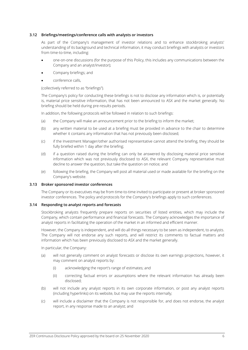# **3.12 Briefings/meetings/conference calls with analysts or investors**

As part of the Company's management of investor relations and to enhance stockbroking analysts' understanding of its background and technical information, it may conduct briefings with analysts or investors from time-to-time, including:

- one-on-one discussions (for the purpose of this Policy, this includes any communications between the Company and an analyst/investor);
- Company briefings; and
- conference calls,

(collectively referred to as "briefings").

The Company's policy for conducting these briefings is not to disclose any information which is, or potentially is, material price sensitive information, that has not been announced to ASX and the market generally. No briefing should be held during pre-results periods.

In addition, the following protocols will be followed in relation to such briefings:

- (a) the Company will make an announcement prior to the briefing to inform the market;
- (b) any written material to be used at a briefing must be provided in advance to the chair to determine whether it contains any information that has not previously been disclosed;
- (c) if the Investment Manager/other authorised representative cannot attend the briefing, they should be fully briefed within 1 day after the briefing;
- (d) if a question raised during the briefing can only be answered by disclosing material price sensitive information which was not previously disclosed to ASX, the relevant Company representative must decline to answer the question, but take the question on notice; and
- (e) following the briefing, the Company will post all material used or made available for the briefing on the Company's website.

## **3.13 Broker sponsored investor conferences**

The Company or its executives may be from time-to-time invited to participate or present at broker sponsored investor conferences. The policy and protocols for the Company's briefings apply to such conferences.

## **3.14 Responding to analyst reports and forecasts**

Stockbroking analysts frequently prepare reports on securities of listed entities, which may include the Company, which contain performance and financial forecasts. The Company acknowledges the importance of analyst reports in facilitating the operation of the market in an informed and efficient manner.

However, the Company is independent, and will do all things necessary to be seen as independent, to analysts. The Company will not endorse any such reports, and will restrict its comments to factual matters and information which has been previously disclosed to ASX and the market generally.

In particular, the Company:

- (a) will not generally comment on analyst forecasts or disclose its own earnings projections, however, it may comment on analyst reports by:
	- (i) acknowledging the report's range of estimates; and
	- (ii) correcting factual errors or assumptions where the relevant information has already been disclosed;
- (b) will not include any analyst reports in its own corporate information, or post any analyst reports (including hyperlinks) on its website, but may use the reports internally;
- (c) will include a disclaimer that the Company is not responsible for, and does not endorse, the analyst report, in any response made to an analyst; and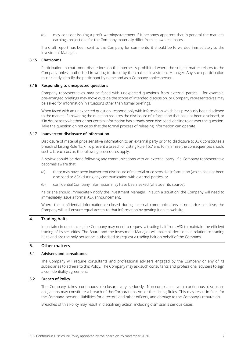(d) may consider issuing a profit warning/statement if it becomes apparent that in general the market's earnings projections for the Company materially differ from its own estimates.

If a draft report has been sent to the Company for comments, it should be forwarded immediately to the Investment Manager.

# **3.15 Chatrooms**

Participation in chat room discussions on the internet is prohibited where the subject matter relates to the Company unless authorised in writing to do so by the chair or Investment Manager. Any such participation must clearly identify the participant by name and as a Company spokesperson.

# **3.16 Responding to unexpected questions**

Company representatives may be faced with unexpected questions from external parties – for example, pre-arranged briefings may move outside the scope of intended discussion, or Company representatives may be asked for information in situations other than formal briefings.

When faced with an unexpected question, respond only with information which has previously been disclosed to the market. If answering the question requires the disclosure of information that has not been disclosed, or if in doubt as to whether or not certain information has already been disclosed, decline to answer the question. Take the question on notice so that the formal process of releasing information can operate.

# **3.17 Inadvertent disclosure of information**

Disclosure of material price sensitive information to an external party prior to disclosure to ASX constitutes a breach of Listing Rule 15.7. To prevent a breach of Listing Rule 15.7 and to minimise the consequences should such a breach occur, the following procedures apply.

A review should be done following any communications with an external party. If a Company representative becomes aware that:

- (a) there may have been inadvertent disclosure of material price sensitive information (which has not been disclosed to ASX) during any communication with external parties; or
- (b) confidential Company information may have been leaked (whatever its source),

he or she should immediately notify the Investment Manager. In such a situation, the Company will need to immediately issue a formal ASX announcement.

Where the confidential information disclosed during external communications is not price sensitive, the Company will still ensure equal access to that information by posting it on its website.

# **4. Trading halts**

In certain circumstances, the Company may need to request a trading halt from ASX to maintain the efficient trading of its securities. The Board and the Investment Manager will make all decisions in relation to trading halts and are the only personnel authorised to request a trading halt on behalf of the Company.

# **5. Other matters**

## **5.1 Advisers and consultants**

The Company will require consultants and professional advisers engaged by the Company or any of its subsidiaries to adhere to this Policy. The Company may ask such consultants and professional advisers to sign a confidentiality agreement.

# **5.2 Breach of Policy**

The Company takes continuous disclosure very seriously. Non-compliance with continuous disclosure obligations may constitute a breach of the Corporations Act or the Listing Rules. This may result in fines for the Company, personal liabilities for directors and other officers, and damage to the Company's reputation.

Breaches of this Policy may result in disciplinary action, including dismissal is serious cases.